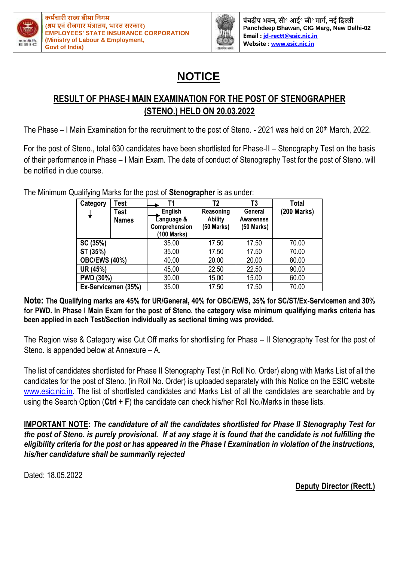



**पंचदीप भवि, सी॰ आई॰ जी॰ र्ागम, िई नदल्ली Panchdeep Bhawan, CIG Marg, New Delhi-02 Email : [jd-rectt@esic.nic.in](mailto:jd-rectt@esic.nic.in) Website [: www.esic.nic.in](http://www.esic.nic.in/)**

## **NOTICE**

## **RESULT OF PHASE-I MAIN EXAMINATION FOR THE POST OF STENOGRAPHER (STENO.) HELD ON 20.03.2022**

The Phase – I Main Examination for the recruitment to the post of Steno. - 2021 was held on 20<sup>th</sup> March, 2022.

For the post of Steno., total 630 candidates have been shortlisted for Phase-II – Stenography Test on the basis of their performance in Phase – I Main Exam. The date of conduct of Stenography Test for the post of Steno. will be notified in due course.

| Category<br>Test     |                      | Τ1                                                    | Τ2                                        | T3                                        | <b>Total</b> |  |
|----------------------|----------------------|-------------------------------------------------------|-------------------------------------------|-------------------------------------------|--------------|--|
|                      | Test<br><b>Names</b> | English<br>Language &<br>Comprehension<br>(100 Marks) | Reasoning<br><b>Ability</b><br>(50 Marks) | General<br><b>Awareness</b><br>(50 Marks) | (200 Marks)  |  |
| SC (35%)             |                      | 35.00                                                 | 17.50                                     | 17.50                                     | 70.00        |  |
| ST (35%)             |                      | 35.00                                                 | 17.50                                     | 17.50                                     | 70.00        |  |
| <b>OBC/EWS (40%)</b> |                      | 40.00                                                 | 20.00                                     | 20.00                                     | 80.00        |  |
| UR (45%)             |                      | 45.00                                                 | 22.50                                     | 22.50                                     | 90.00        |  |
| <b>PWD (30%)</b>     |                      | 30.00                                                 | 15.00<br>15.00                            |                                           | 60.00        |  |
|                      | Ex-Servicemen (35%)  | 35.00                                                 | 17.50                                     | 17.50                                     | 70.00        |  |

The Minimum Qualifying Marks for the post of **Stenographer** is as under:

**Note: The Qualifying marks are 45% for UR/General, 40% for OBC/EWS, 35% for SC/ST/Ex-Servicemen and 30% for PWD. In Phase I Main Exam for the post of Steno. the category wise minimum qualifying marks criteria has been applied in each Test/Section individually as sectional timing was provided.**

The Region wise & Category wise Cut Off marks for shortlisting for Phase – II Stenography Test for the post of Steno. is appended below at Annexure – A.

The list of candidates shortlisted for Phase II Stenography Test (in Roll No. Order) along with Marks List of all the candidates for the post of Steno. (in Roll No. Order) is uploaded separately with this Notice on the ESIC website www.esic.nic.in. The list of shortlisted candidates and Marks List of all the candidates are searchable and by using the Search Option (**Ctrl + F**) the candidate can check his/her Roll No./Marks in these lists.

**IMPORTANT NOTE:** *The candidature of all the candidates shortlisted for Phase II Stenography Test for the post of Steno. is purely provisional. If at any stage it is found that the candidate is not fulfilling the eligibility criteria for the post or has appeared in the Phase I Examination in violation of the instructions, his/her candidature shall be summarily rejected*

Dated: 18.05.2022

**Deputy Director (Rectt.)**